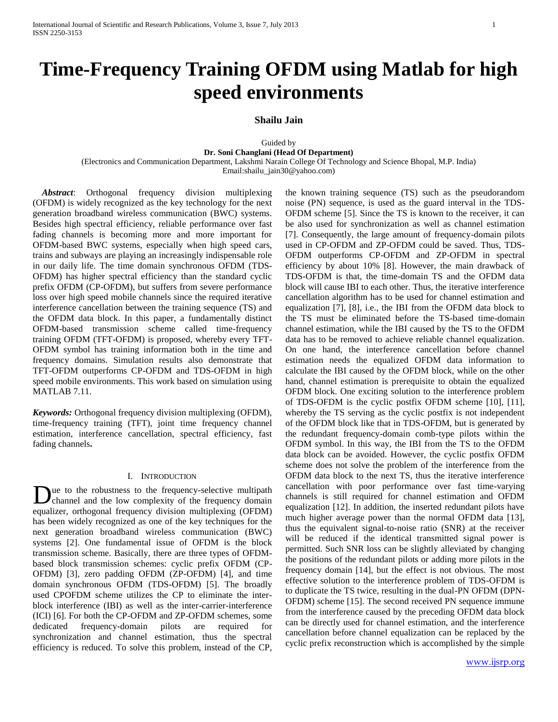# **Time-Frequency Training OFDM using Matlab for high speed environments**

# **Shailu Jain**

Guided by **Dr. Soni Changlani (Head Of Department)** (Electronics and Communication Department, Lakshmi Narain College Of Technology and Science Bhopal, M.P. India) Email:shailu\_jain30@yahoo.com)

 *Abstract*: Orthogonal frequency division multiplexing (OFDM) is widely recognized as the key technology for the next generation broadband wireless communication (BWC) systems. Besides high spectral efficiency, reliable performance over fast fading channels is becoming more and more important for OFDM-based BWC systems, especially when high speed cars, trains and subways are playing an increasingly indispensable role in our daily life. The time domain synchronous OFDM (TDS-OFDM) has higher spectral efficiency than the standard cyclic prefix OFDM (CP-OFDM), but suffers from severe performance loss over high speed mobile channels since the required iterative interference cancellation between the training sequence (TS) and the OFDM data block. In this paper, a fundamentally distinct OFDM-based transmission scheme called time-frequency training OFDM (TFT-OFDM) is proposed, whereby every TFT-OFDM symbol has training information both in the time and frequency domains. Simulation results also demonstrate that TFT-OFDM outperforms CP-OFDM and TDS-OFDM in high speed mobile environments. This work based on simulation using MATLAB 7.11.

*Keywords:* Orthogonal frequency division multiplexing (OFDM), time-frequency training (TFT), joint time frequency channel estimation, interference cancellation, spectral efficiency, fast fading channels**.**

## I. INTRODUCTION

ue to the robustness to the frequency-selective multipath channel and the low complexity of the frequency domain Due to the robustness to the frequency-selective multipath channel and the low complexity of the frequency domain equalizer, orthogonal frequency division multiplexing (OFDM) has been widely recognized as one of the key techniques for the next generation broadband wireless communication (BWC) systems [2]. One fundamental issue of OFDM is the block transmission scheme. Basically, there are three types of OFDMbased block transmission schemes: cyclic prefix OFDM (CP-OFDM) [3], zero padding OFDM (ZP-OFDM) [4], and time domain synchronous OFDM (TDS-OFDM) [5]. The broadly used CPOFDM scheme utilizes the CP to eliminate the interblock interference (IBI) as well as the inter-carrier-interference (ICI) [6]. For both the CP-OFDM and ZP-OFDM schemes, some dedicated frequency-domain pilots are required for synchronization and channel estimation, thus the spectral efficiency is reduced. To solve this problem, instead of the CP,

the known training sequence (TS) such as the pseudorandom noise (PN) sequence, is used as the guard interval in the TDS-OFDM scheme [5]. Since the TS is known to the receiver, it can be also used for synchronization as well as channel estimation [7]. Consequently, the large amount of frequency-domain pilots used in CP-OFDM and ZP-OFDM could be saved. Thus, TDS-OFDM outperforms CP-OFDM and ZP-OFDM in spectral efficiency by about 10% [8]. However, the main drawback of TDS-OFDM is that, the time-domain TS and the OFDM data block will cause IBI to each other. Thus, the iterative interference cancellation algorithm has to be used for channel estimation and equalization [7], [8], i.e., the IBI from the OFDM data block to the TS must be eliminated before the TS-based time-domain channel estimation, while the IBI caused by the TS to the OFDM data has to be removed to achieve reliable channel equalization. On one hand, the interference cancellation before channel estimation needs the equalized OFDM data information to calculate the IBI caused by the OFDM block, while on the other hand, channel estimation is prerequisite to obtain the equalized OFDM block. One exciting solution to the interference problem of TDS-OFDM is the cyclic postfix OFDM scheme [10], [11], whereby the TS serving as the cyclic postfix is not independent of the OFDM block like that in TDS-OFDM, but is generated by the redundant frequency-domain comb-type pilots within the OFDM symbol. In this way, the IBI from the TS to the OFDM data block can be avoided. However, the cyclic postfix OFDM scheme does not solve the problem of the interference from the OFDM data block to the next TS, thus the iterative interference cancellation with poor performance over fast time-varying channels is still required for channel estimation and OFDM equalization [12]. In addition, the inserted redundant pilots have much higher average power than the normal OFDM data [13], thus the equivalent signal-to-noise ratio (SNR) at the receiver will be reduced if the identical transmitted signal power is permitted. Such SNR loss can be slightly alleviated by changing the positions of the redundant pilots or adding more pilots in the frequency domain [14], but the effect is not obvious. The most effective solution to the interference problem of TDS-OFDM is to duplicate the TS twice, resulting in the dual-PN OFDM (DPN-OFDM) scheme [15]. The second received PN sequence immune from the interference caused by the preceding OFDM data block can be directly used for channel estimation, and the interference cancellation before channel equalization can be replaced by the cyclic prefix reconstruction which is accomplished by the simple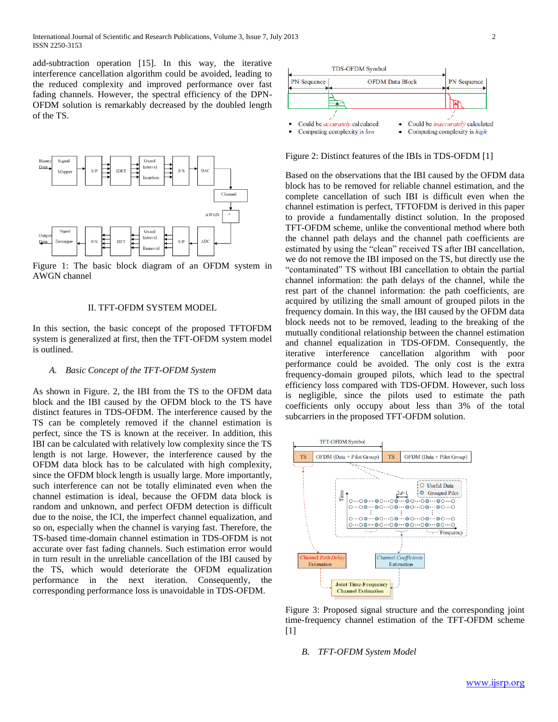add-subtraction operation [15]. In this way, the iterative interference cancellation algorithm could be avoided, leading to the reduced complexity and improved performance over fast fading channels. However, the spectral efficiency of the DPN-OFDM solution is remarkably decreased by the doubled length of the TS.



Figure 1: The basic block diagram of an OFDM system in AWGN channel

# II. TFT-OFDM SYSTEM MODEL

In this section, the basic concept of the proposed TFTOFDM system is generalized at first, then the TFT-OFDM system model is outlined.

## *A. Basic Concept of the TFT-OFDM System*

As shown in Figure. 2, the IBI from the TS to the OFDM data block and the IBI caused by the OFDM block to the TS have distinct features in TDS-OFDM. The interference caused by the TS can be completely removed if the channel estimation is perfect, since the TS is known at the receiver. In addition, this IBI can be calculated with relatively low complexity since the TS length is not large. However, the interference caused by the OFDM data block has to be calculated with high complexity, since the OFDM block length is usually large. More importantly, such interference can not be totally eliminated even when the channel estimation is ideal, because the OFDM data block is random and unknown, and perfect OFDM detection is difficult due to the noise, the ICI, the imperfect channel equalization, and so on, especially when the channel is varying fast. Therefore, the TS-based time-domain channel estimation in TDS-OFDM is not accurate over fast fading channels. Such estimation error would in turn result in the unreliable cancellation of the IBI caused by the TS, which would deteriorate the OFDM equalization performance in the next iteration. Consequently, the corresponding performance loss is unavoidable in TDS-OFDM.



Figure 2: Distinct features of the IBIs in TDS-OFDM [1]

Based on the observations that the IBI caused by the OFDM data block has to be removed for reliable channel estimation, and the complete cancellation of such IBI is difficult even when the channel estimation is perfect, TFTOFDM is derived in this paper to provide a fundamentally distinct solution. In the proposed TFT-OFDM scheme, unlike the conventional method where both the channel path delays and the channel path coefficients are estimated by using the "clean" received TS after IBI cancellation, we do not remove the IBI imposed on the TS, but directly use the "contaminated" TS without IBI cancellation to obtain the partial channel information: the path delays of the channel, while the rest part of the channel information: the path coefficients, are acquired by utilizing the small amount of grouped pilots in the frequency domain. In this way, the IBI caused by the OFDM data block needs not to be removed, leading to the breaking of the mutually conditional relationship between the channel estimation and channel equalization in TDS-OFDM. Consequently, the iterative interference cancellation algorithm with poor performance could be avoided. The only cost is the extra frequency-domain grouped pilots, which lead to the spectral efficiency loss compared with TDS-OFDM. However, such loss is negligible, since the pilots used to estimate the path coefficients only occupy about less than 3% of the total subcarriers in the proposed TFT-OFDM solution.



Figure 3: Proposed signal structure and the corresponding joint time-frequency channel estimation of the TFT-OFDM scheme [1]

### *B. TFT-OFDM System Model*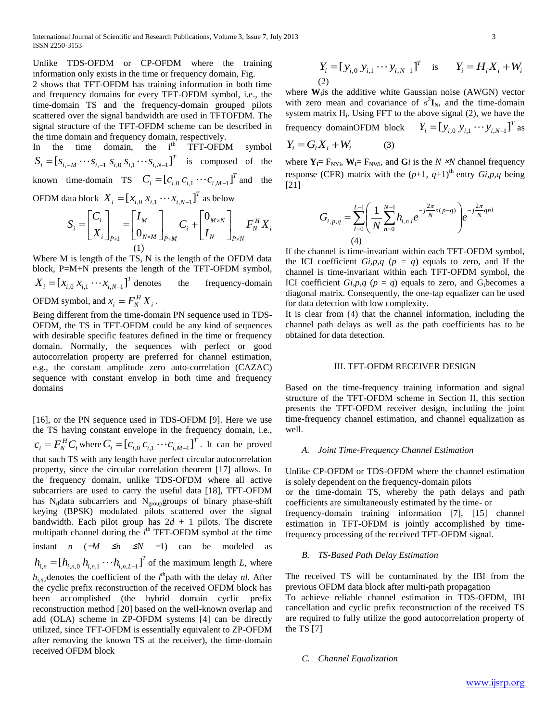International Journal of Scientific and Research Publications, Volume 3, Issue 7, July 2013 3 ISSN 2250-3153

Unlike TDS-OFDM or CP-OFDM where the training information only exists in the time or frequency domain, Fig.

2 shows that TFT-OFDM has training information in both time and frequency domains for every TFT-OFDM symbol, i.e., the time-domain TS and the frequency-domain grouped pilots scattered over the signal bandwidth are used in TFTOFDM. The signal structure of the TFT-OFDM scheme can be described in the time domain and frequency domain, respectively.

In the time domain, the  $i<sup>th</sup>$  TFT-OFDM symbol  $S_i = [s_{i, M} \cdots s_{i, -1} s_{i, 0} s_{i, 1} \cdots s_{i, N-1}]^T$  is composed of the known time-domain TS  $C_i = [c_{i,0} c_{i,1} \cdots c_{i,M-1}]^T$  and the OFDM data block  $X_i = [x_{i,0} x_{i,1} \cdots x_{i,N-1}]^T$  as below

$$
S_i = \begin{bmatrix} C_i \\ X_i \end{bmatrix}_{P \times 1} = \begin{bmatrix} I_M \\ 0_{N \times M} \end{bmatrix}_{P \times M} C_i + \begin{bmatrix} 0_{M \times N} \\ I_N \end{bmatrix}_{P \times N} F_N^H X_i
$$
  
(1)

Where M is length of the TS, N is the length of the OFDM data block, P=M+N presents the length of the TFT-OFDM symbol,  $X_i = [x_{i,0} \ x_{i,1} \ \cdots x_{i,N-1}]^T$ the frequency-domain OFDM symbol, and  $x_i = F_N^H X_i$  $X_i = F_N^H X_i$ .

Being different from the time-domain PN sequence used in TDS-OFDM, the TS in TFT-OFDM could be any kind of sequences with desirable specific features defined in the time or frequency domain. Normally, the sequences with perfect or good autocorrelation property are preferred for channel estimation, e.g., the constant amplitude zero auto-correlation (CAZAC) sequence with constant envelop in both time and frequency domains

[16], or the PN sequence used in TDS-OFDM [9]. Here we use the TS having constant envelope in the frequency domain, i.e., *i*  $c_i = F_N^H C_i$  where  $C_i = [c_{i,0} c_{i,1} \cdots c_{i,M-1}]^T$ . It can be proved that such TS with any length have perfect circular autocorrelation property, since the circular correlation theorem [17] allows. In the frequency domain, unlike TDS-OFDM where all active subcarriers are used to carry the useful data [18], TFT-OFDM has  $N_d$ data subcarriers and  $N_{group}$ groups of binary phase-shift keying (BPSK) modulated pilots scattered over the signal bandwidth. Each pilot group has  $2d + 1$  pilots. The discrete multipath channel during the  $i<sup>th</sup> TFT-OFDM$  symbol at the time instant *n* (−*M* ≤*n* ≤*N* −1) can be modeled as  $h_{i,n} = [h_{i,n,0} h_{i,n,1} \cdots h_{i,n,L-1}]^T$  of the maximum length *L*, where  $h_{i,n,l}$  denotes the coefficient of the  $l^{th}$  path with the delay *nl*. After the cyclic prefix reconstruction of the received OFDM block has been accomplished (the hybrid domain cyclic prefix reconstruction method [20] based on the well-known overlap and add (OLA) scheme in ZP-OFDM systems [4] can be directly utilized, since TFT-OFDM is essentially equivalent to ZP-OFDM after removing the known TS at the receiver), the time-domain received OFDM block

$$
Y_i = [y_{i,0} \ y_{i,1} \cdots y_{i,N-1}]^T \quad \text{is} \qquad Y_i = H_i X_i + W_i
$$
  
(2)

where  $W_i$  is the additive white Gaussian noise (AWGN) vector with zero mean and covariance of  $\sigma^2 \mathbf{I}_N$ , and the time-domain system matrix  $H_i$ . Using FFT to the above signal  $(2)$ , we have the frequency domainOFDM block  $Y_i = [y_{i,0} \ y_{i,1} \cdots y_{i,N-1}]^T$  as

$$
Y_i = G_i X_i + W_i \tag{3}
$$

where  $Y_i = F_{NYi}$ ,  $W_i = F_{NWi}$ , and G*i* is the *N ×N* channel frequency response (CFR) matrix with the  $(p+1, q+1)$ <sup>th</sup> entry  $Gi, p, q$  being [21]

$$
G_{i,p,q} = \sum_{l=0}^{L-1} \left( \frac{1}{N} \sum_{n=0}^{N-1} h_{i,n,l} e^{-j\frac{2\pi}{N}n(p-q)} \right) e^{-j\frac{2\pi}{N}qnl}
$$
\n(4)

If the channel is time-invariant within each TFT-OFDM symbol, the ICI coefficient  $Gi, p, q$  ( $p = q$ ) equals to zero, and If the channel is time-invariant within each TFT-OFDM symbol, the ICI coefficient  $Gi, p, q \ (p = q)$  equals to zero, and G<sub>i</sub>becomes a diagonal matrix. Consequently, the one-tap equalizer can be used for data detection with low complexity.

It is clear from (4) that the channel information, including the channel path delays as well as the path coefficients has to be obtained for data detection.

# III. TFT-OFDM RECEIVER DESIGN

Based on the time-frequency training information and signal structure of the TFT-OFDM scheme in Section II, this section presents the TFT-OFDM receiver design, including the joint time-frequency channel estimation, and channel equalization as well.

## *A. Joint Time-Frequency Channel Estimation*

Unlike CP-OFDM or TDS-OFDM where the channel estimation is solely dependent on the frequency-domain pilots

or the time-domain TS, whereby the path delays and path coefficients are simultaneously estimated by the time- or frequency-domain training information [7], [15] channel estimation in TFT-OFDM is jointly accomplished by timefrequency processing of the received TFT-OFDM signal.

### *B. TS-Based Path Delay Estimation*

The received TS will be contaminated by the IBI from the previous OFDM data block after multi-path propagation

To achieve reliable channel estimation in TDS-OFDM, IBI cancellation and cyclic prefix reconstruction of the received TS are required to fully utilize the good autocorrelation property of the TS [7]

# *C. Channel Equalization*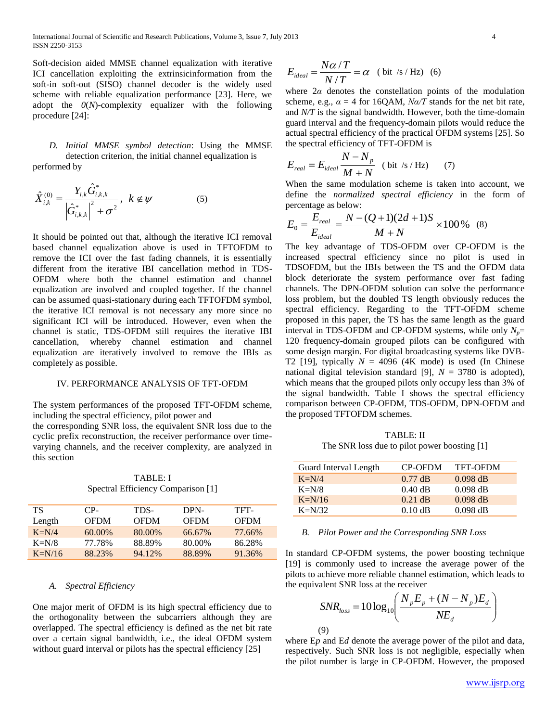Soft-decision aided MMSE channel equalization with iterative ICI cancellation exploiting the extrinsicinformation from the soft-in soft-out (SISO) channel decoder is the widely used scheme with reliable equalization performance [23]. Here, we adopt the *0*(*N*)-complexity equalizer with the following procedure [24]:

*D. Initial MMSE symbol detection*: Using the MMSE detection criterion, the initial channel equalization is performed by

$$
\hat{X}_{i,k}^{(0)} = \frac{Y_{i,k}\hat{G}_{i,k,k}^{*}}{\left|\hat{G}_{i,k,k}^{*}\right|^{2} + \sigma^{2}}, \ k \notin \psi
$$
\n(5)

It should be pointed out that, although the iterative ICI removal based channel equalization above is used in TFTOFDM to remove the ICI over the fast fading channels, it is essentially different from the iterative IBI cancellation method in TDS-OFDM where both the channel estimation and channel equalization are involved and coupled together. If the channel can be assumed quasi-stationary during each TFTOFDM symbol, the iterative ICI removal is not necessary any more since no significant ICI will be introduced. However, even when the channel is static, TDS-OFDM still requires the iterative IBI cancellation, whereby channel estimation and channel equalization are iteratively involved to remove the IBIs as completely as possible.

# IV. PERFORMANCE ANALYSIS OF TFT-OFDM

The system performances of the proposed TFT-OFDM scheme, including the spectral efficiency, pilot power and

the corresponding SNR loss, the equivalent SNR loss due to the cyclic prefix reconstruction, the receiver performance over timevarying channels, and the receiver complexity, are analyzed in this section

TABLE: I Spectral Efficiency Comparison [1]

| ТS       | $CP-$       | TDS-        | DPN-        | TFT-        |
|----------|-------------|-------------|-------------|-------------|
| Length   | <b>OFDM</b> | <b>OFDM</b> | <b>OFDM</b> | <b>OFDM</b> |
| $K=N/4$  | 60.00%      | 80.00%      | 66.67%      | 77.66%      |
| $K=N/8$  | 77.78%      | 88.89%      | 80.00%      | 86.28%      |
| $K=N/16$ | 88.23%      | 94.12%      | 88.89%      | 91.36%      |

# *A. Spectral Efficiency*

One major merit of OFDM is its high spectral efficiency due to the orthogonality between the subcarriers although they are overlapped. The spectral efficiency is defined as the net bit rate over a certain signal bandwidth, i.e., the ideal OFDM system without guard interval or pilots has the spectral efficiency [25]

$$
E_{ideal} = \frac{N\alpha/T}{N/T} = \alpha \quad (\text{bit } / \text{s } / \text{ Hz}) \quad (6)
$$

where  $2\alpha$  denotes the constellation points of the modulation scheme, e.g.,  $\alpha = 4$  for 16QAM,  $N\alpha/T$  stands for the net bit rate, and *N/T* is the signal bandwidth. However, both the time-domain guard interval and the frequency-domain pilots would reduce the actual spectral efficiency of the practical OFDM systems [25]. So the spectral efficiency of TFT-OFDM is

$$
E_{real} = E_{ideal} \frac{N - N_p}{M + N} \quad \text{(bit /s / Hz)} \tag{7}
$$

When the same modulation scheme is taken into account, we define the *normalized spectral efficiency* in the form of percentage as below:

$$
E_0 = \frac{E_{real}}{E_{ideal}} = \frac{N - (Q + 1)(2d + 1)S}{M + N} \times 100\% \quad (8)
$$

The key advantage of TDS-OFDM over CP-OFDM is the increased spectral efficiency since no pilot is used in TDSOFDM, but the IBIs between the TS and the OFDM data block deteriorate the system performance over fast fading channels. The DPN-OFDM solution can solve the performance loss problem, but the doubled TS length obviously reduces the spectral efficiency. Regarding to the TFT-OFDM scheme proposed in this paper, the TS has the same length as the guard interval in TDS-OFDM and CP-OFDM systems, while only  $N_p$ = 120 frequency-domain grouped pilots can be configured with some design margin. For digital broadcasting systems like DVB-T2 [19], typically  $N = 4096$  (4K mode) is used (In Chinese national digital television standard [9],  $N = 3780$  is adopted), which means that the grouped pilots only occupy less than 3% of the signal bandwidth. Table I shows the spectral efficiency comparison between CP-OFDM, TDS-OFDM, DPN-OFDM and the proposed TFTOFDM schemes.

TABLE: II The SNR loss due to pilot power boosting [1]

| Guard Interval Length | CP-OFDM   | <b>TFT-OFDM</b> |
|-----------------------|-----------|-----------------|
| $K=N/4$               | $0.77$ dB | $0.098$ dB      |
| $K=N/8$               | $0.40$ dB | $0.098$ dB      |
| $K=N/16$              | $0.21$ dB | $0.098$ dB      |
| $K=N/32$              | $0.10$ dB | $0.098$ dB      |

# *B. Pilot Power and the Corresponding SNR Loss*

In standard CP-OFDM systems, the power boosting technique [19] is commonly used to increase the average power of the pilots to achieve more reliable channel estimation, which leads to the equivalent SNR loss at the receiver

$$
SNR_{loss} = 10\log_{10}\left(\frac{N_p E_p + (N - N_p)E_d}{NE_d}\right)
$$
\n(9)

where E*p* and E*d* denote the average power of the pilot and data, respectively. Such SNR loss is not negligible, especially when the pilot number is large in CP-OFDM. However, the proposed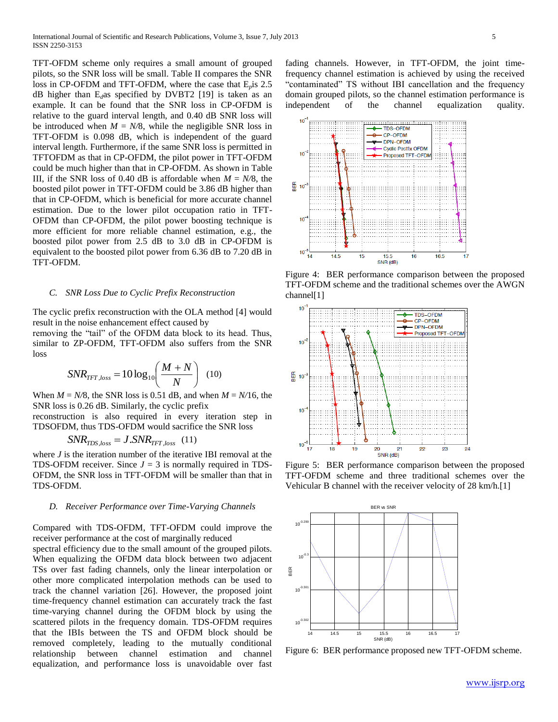TFT-OFDM scheme only requires a small amount of grouped pilots, so the SNR loss will be small. Table II compares the SNR loss in CP-OFDM and TFT-OFDM, where the case that E*p*is 2.5 dB higher than E*d*as specified by DVBT2 [19] is taken as an example. It can be found that the SNR loss in CP-OFDM is relative to the guard interval length, and 0.40 dB SNR loss will be introduced when  $M = N/8$ , while the negligible SNR loss in TFT-OFDM is 0.098 dB, which is independent of the guard interval length. Furthermore, if the same SNR loss is permitted in TFTOFDM as that in CP-OFDM, the pilot power in TFT-OFDM could be much higher than that in CP-OFDM. As shown in Table III, if the SNR loss of 0.40 dB is affordable when  $M = N/8$ , the boosted pilot power in TFT-OFDM could be 3.86 dB higher than that in CP-OFDM, which is beneficial for more accurate channel estimation. Due to the lower pilot occupation ratio in TFT-OFDM than CP-OFDM, the pilot power boosting technique is more efficient for more reliable channel estimation, e.g., the boosted pilot power from 2.5 dB to 3.0 dB in CP-OFDM is equivalent to the boosted pilot power from 6.36 dB to 7.20 dB in TFT-OFDM.

#### *C. SNR Loss Due to Cyclic Prefix Reconstruction*

The cyclic prefix reconstruction with the OLA method [4] would result in the noise enhancement effect caused by

removing the "tail" of the OFDM data block to its head. Thus, similar to ZP-OFDM, TFT-OFDM also suffers from the SNR loss

$$
SNR_{TFT,loss} = 10\log_{10}\left(\frac{M+N}{N}\right) \tag{10}
$$

When  $M = N/8$ , the SNR loss is 0.51 dB, and when  $M = N/16$ , the SNR loss is 0.26 dB. Similarly, the cyclic prefix

reconstruction is also required in every iteration step in TDSOFDM, thus TDS-OFDM would sacrifice the SNR loss

$$
SNR_{TDS,loss} = J.SNR_{TFT,loss} \quad (11)
$$

where *J* is the iteration number of the iterative IBI removal at the TDS-OFDM receiver. Since  $J = 3$  is normally required in TDS-OFDM, the SNR loss in TFT-OFDM will be smaller than that in TDS-OFDM.

#### *D. Receiver Performance over Time-Varying Channels*

Compared with TDS-OFDM, TFT-OFDM could improve the receiver performance at the cost of marginally reduced

spectral efficiency due to the small amount of the grouped pilots. When equalizing the OFDM data block between two adjacent TSs over fast fading channels, only the linear interpolation or other more complicated interpolation methods can be used to track the channel variation [26]. However, the proposed joint time-frequency channel estimation can accurately track the fast time-varying channel during the OFDM block by using the scattered pilots in the frequency domain. TDS-OFDM requires that the IBIs between the TS and OFDM block should be removed completely, leading to the mutually conditional relationship between channel estimation and channel equalization, and performance loss is unavoidable over fast

fading channels. However, in TFT-OFDM, the joint timefrequency channel estimation is achieved by using the received "contaminated" TS without IBI cancellation and the frequency domain grouped pilots, so the channel estimation performance is independent of the channel equalization quality.



Figure 4: BER performance comparison between the proposed TFT-OFDM scheme and the traditional schemes over the AWGN channel[1]



Figure 5: BER performance comparison between the proposed TFT-OFDM scheme and three traditional schemes over the Vehicular B channel with the receiver velocity of 28 km/h.[1]



Figure 6: BER performance proposed new TFT-OFDM scheme.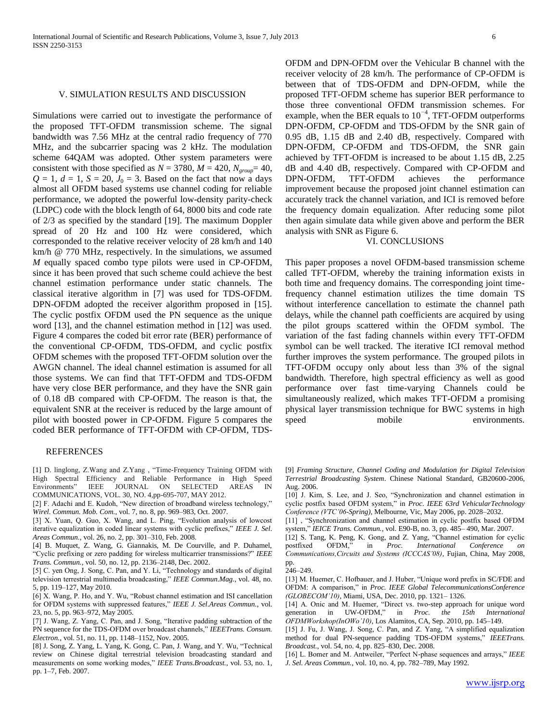# V. SIMULATION RESULTS AND DISCUSSION

Simulations were carried out to investigate the performance of the proposed TFT-OFDM transmission scheme. The signal bandwidth was 7.56 MHz at the central radio frequency of 770 MHz, and the subcarrier spacing was 2 kHz. The modulation scheme 64QAM was adopted. Other system parameters were consistent with those specified as  $N = 3780$ ,  $M = 420$ ,  $N_{\text{group}} = 40$ ,  $Q = 1$ ,  $d = 1$ ,  $S = 20$ ,  $J_0 = 3$ . Based on the fact that now a days almost all OFDM based systems use channel coding for reliable performance, we adopted the powerful low-density parity-check (LDPC) code with the block length of 64, 8000 bits and code rate of 2/3 as specified by the standard [19]. The maximum Doppler spread of 20 Hz and 100 Hz were considered, which corresponded to the relative receiver velocity of 28 km/h and 140 km/h @ 770 MHz, respectively. In the simulations, we assumed *M* equally spaced combo type pilots were used in CP-OFDM, since it has been proved that such scheme could achieve the best channel estimation performance under static channels. The classical iterative algorithm in [7] was used for TDS-OFDM. DPN-OFDM adopted the receiver algorithm proposed in [15]. The cyclic postfix OFDM used the PN sequence as the unique word [13], and the channel estimation method in [12] was used. Figure 4 compares the coded bit error rate (BER) performance of the conventional CP-OFDM, TDS-OFDM, and cyclic postfix OFDM schemes with the proposed TFT-OFDM solution over the AWGN channel. The ideal channel estimation is assumed for all those systems. We can find that TFT-OFDM and TDS-OFDM have very close BER performance, and they have the SNR gain of 0.18 dB compared with CP-OFDM. The reason is that, the equivalent SNR at the receiver is reduced by the large amount of pilot with boosted power in CP-OFDM. Figure 5 compares the coded BER performance of TFT-OFDM with CP-OFDM, TDS-

#### REFERENCES

[1] D. linglong, Z.Wang and Z.Yang , "Time-Frequency Training OFDM with High Spectral Efficiency and Reliable Performance in High Speed Environments" IEEE JOURNAL ON SELECTED AREAS IN COMMUNICATIONS, VOL. 30, NO. 4,pp-695-707, MAY 2012.

[2] F. Adachi and E. Kudoh, "New direction of broadband wireless technology," *Wirel. Commun. Mob. Com.*, vol. 7, no. 8, pp. 969–983, Oct. 2007.

[3] X. Yuan, Q. Guo, X. Wang, and L. Ping, "Evolution analysis of lowcost iterative equalization in coded linear systems with cyclic prefixes," *IEEE J. Sel. Areas Commun.*, vol. 26, no. 2, pp. 301–310, Feb. 2008.

[4] B. Muquet, Z. Wang, G. Giannakis, M. De Courville, and P. Duhamel, "Cyclic prefixing or zero padding for wireless multicarrier transmissions?" *IEEE Trans. Commun.*, vol. 50, no. 12, pp. 2136–2148, Dec. 2002.

[5] C. yen Ong, J. Song, C. Pan, and Y. Li, "Technology and standards of digital television terrestrial multimedia broadcasting," *IEEE Commun.Mag.*, vol. 48, no. 5, pp. 119–127, May 2010.

[6] X. Wang, P. Ho, and Y. Wu, "Robust channel estimation and ISI cancellation for OFDM systems with suppressed features," *IEEE J. Sel.Areas Commun.*, vol. 23, no. 5, pp. 963–972, May 2005.

[7] J. Wang, Z. Yang, C. Pan, and J. Song, "Iterative padding subtraction of the PN sequence for the TDS-OFDM over broadcast channels," *IEEETrans. Consum. Electron.*, vol. 51, no. 11, pp. 1148–1152, Nov. 2005.

[8] J. Song, Z. Yang, L. Yang, K. Gong, C. Pan, J. Wang, and Y. Wu, "Technical review on Chinese digital terrestrial television broadcasting standard and measurements on some working modes," *IEEE Trans.Broadcast.*, vol. 53, no. 1, pp. 1–7, Feb. 2007.

OFDM and DPN-OFDM over the Vehicular B channel with the receiver velocity of 28 km/h. The performance of CP-OFDM is between that of TDS-OFDM and DPN-OFDM, while the proposed TFT-OFDM scheme has superior BER performance to those three conventional OFDM transmission schemes. For example, when the BER equals to 10*<sup>−</sup>*<sup>4</sup> , TFT-OFDM outperforms DPN-OFDM, CP-OFDM and TDS-OFDM by the SNR gain of 0.95 dB, 1.15 dB and 2.40 dB, respectively. Compared with DPN-OFDM, CP-OFDM and TDS-OFDM, the SNR gain achieved by TFT-OFDM is increased to be about 1.15 dB, 2.25 dB and 4.40 dB, respectively. Compared with CP-OFDM and DPN-OFDM, TFT-OFDM achieves the performance improvement because the proposed joint channel estimation can accurately track the channel variation, and ICI is removed before the frequency domain equalization. After reducing some pilot then again simulate data while given above and perform the BER analysis with SNR as Figure 6.

## VI. CONCLUSIONS

This paper proposes a novel OFDM-based transmission scheme called TFT-OFDM, whereby the training information exists in both time and frequency domains. The corresponding joint timefrequency channel estimation utilizes the time domain TS without interference cancellation to estimate the channel path delays, while the channel path coefficients are acquired by using the pilot groups scattered within the OFDM symbol. The variation of the fast fading channels within every TFT-OFDM symbol can be well tracked. The iterative ICI removal method further improves the system performance. The grouped pilots in TFT-OFDM occupy only about less than 3% of the signal bandwidth. Therefore, high spectral efficiency as well as good performance over fast time-varying Channels could be simultaneously realized, which makes TFT-OFDM a promising physical layer transmission technique for BWC systems in high speed mobile environments.

[9] *Framing Structure, Channel Coding and Modulation for Digital Television Terrestrial Broadcasting System*. Chinese National Standard, GB20600-2006, Aug. 2006.

[10] J. Kim, S. Lee, and J. Seo, "Synchronization and channel estimation in cyclic postfix based OFDM system," in *Proc. IEEE 63rd VehicularTechnology Conference (VTC'06-Spring)*, Melbourne, Vic, May 2006, pp. 2028–2032.

[11] , "Synchronization and channel estimation in cyclic postfix based OFDM system," *IEICE Trans. Commun.*, vol. E90-B, no. 3, pp. 485– 490, Mar. 2007.

[12] S. Tang, K. Peng, K. Gong, and Z. Yang, "Channel estimation for cyclic postfixed OFDM," in *Proc. International Conference on Communications,Circuits and Systems (ICCCAS'08)*, Fujian, China, May 2008, pp.

246–249.

[13] M. Huemer, C. Hofbauer, and J. Huber, "Unique word prefix in SC/FDE and OFDM: A comparison," in *Proc. IEEE Global TelecommunicationsConference (GLOBECOM'10)*, Miami, USA, Dec. 2010, pp. 1321– 1326.

[14] A. Onic and M. Huemer, "Direct vs. two-step approach for unique word generation in UW-OFDM," in *Proc. the 15th International OFDMWorkshop(InOWo'10)*, Los Alamitos, CA, Sep. 2010, pp. 145–149.

[15] J. Fu, J. Wang, J. Song, C. Pan, and Z. Yang, "A simplified equalization method for dual PN-sequence padding TDS-OFDM systems," *IEEETrans. Broadcast.*, vol. 54, no. 4, pp. 825–830, Dec. 2008.

[16] L. Bomer and M. Antweiler, "Perfect N-phase sequences and arrays," *IEEE J. Sel. Areas Commun.*, vol. 10, no. 4, pp. 782–789, May 1992.